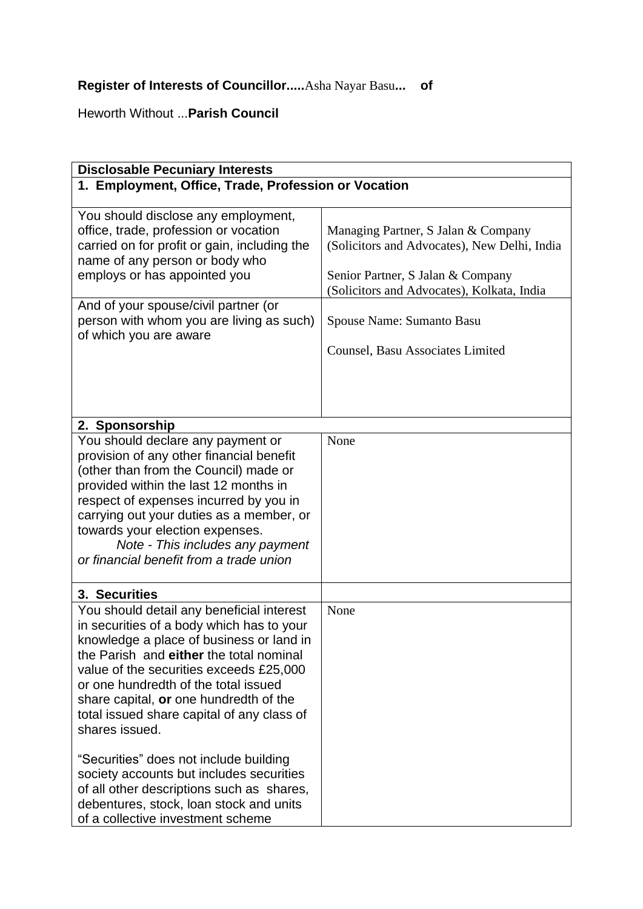## **Register of Interests of Councillor.....**Asha Nayar Basu**... of**

Heworth Without ...**Parish Council**

| <b>Disclosable Pecuniary Interests</b>                                                                                                                                                                                                                                                                                                                                     |                                                                                                                                                                        |  |
|----------------------------------------------------------------------------------------------------------------------------------------------------------------------------------------------------------------------------------------------------------------------------------------------------------------------------------------------------------------------------|------------------------------------------------------------------------------------------------------------------------------------------------------------------------|--|
| 1. Employment, Office, Trade, Profession or Vocation                                                                                                                                                                                                                                                                                                                       |                                                                                                                                                                        |  |
|                                                                                                                                                                                                                                                                                                                                                                            |                                                                                                                                                                        |  |
| You should disclose any employment,<br>office, trade, profession or vocation<br>carried on for profit or gain, including the<br>name of any person or body who<br>employs or has appointed you                                                                                                                                                                             | Managing Partner, S Jalan & Company<br>(Solicitors and Advocates), New Delhi, India<br>Senior Partner, S Jalan & Company<br>(Solicitors and Advocates), Kolkata, India |  |
| And of your spouse/civil partner (or<br>person with whom you are living as such)                                                                                                                                                                                                                                                                                           | Spouse Name: Sumanto Basu                                                                                                                                              |  |
| of which you are aware                                                                                                                                                                                                                                                                                                                                                     | Counsel, Basu Associates Limited                                                                                                                                       |  |
|                                                                                                                                                                                                                                                                                                                                                                            |                                                                                                                                                                        |  |
|                                                                                                                                                                                                                                                                                                                                                                            |                                                                                                                                                                        |  |
|                                                                                                                                                                                                                                                                                                                                                                            |                                                                                                                                                                        |  |
|                                                                                                                                                                                                                                                                                                                                                                            |                                                                                                                                                                        |  |
| 2. Sponsorship                                                                                                                                                                                                                                                                                                                                                             | None                                                                                                                                                                   |  |
| You should declare any payment or<br>provision of any other financial benefit<br>(other than from the Council) made or<br>provided within the last 12 months in<br>respect of expenses incurred by you in<br>carrying out your duties as a member, or<br>towards your election expenses.<br>Note - This includes any payment<br>or financial benefit from a trade union    |                                                                                                                                                                        |  |
| 3. Securities                                                                                                                                                                                                                                                                                                                                                              |                                                                                                                                                                        |  |
| You should detail any beneficial interest<br>in securities of a body which has to your<br>knowledge a place of business or land in<br>the Parish and either the total nominal<br>value of the securities exceeds £25,000<br>or one hundredth of the total issued<br>share capital, or one hundredth of the<br>total issued share capital of any class of<br>shares issued. | None                                                                                                                                                                   |  |
| "Securities" does not include building<br>society accounts but includes securities<br>of all other descriptions such as shares,<br>debentures, stock, loan stock and units<br>of a collective investment scheme                                                                                                                                                            |                                                                                                                                                                        |  |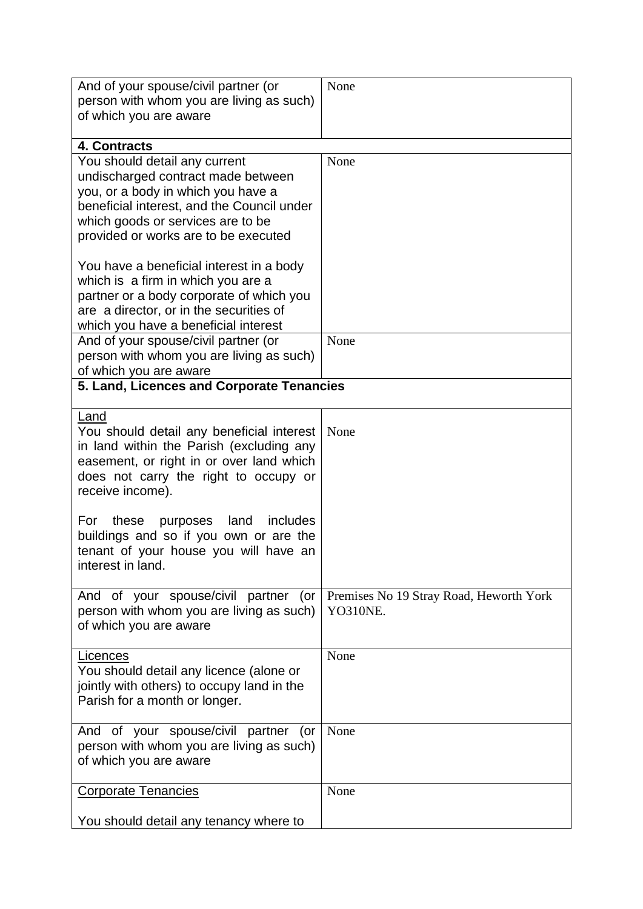| And of your spouse/civil partner (or<br>person with whom you are living as such)<br>of which you are aware                                                                                                                           | None                                                |  |
|--------------------------------------------------------------------------------------------------------------------------------------------------------------------------------------------------------------------------------------|-----------------------------------------------------|--|
| 4. Contracts                                                                                                                                                                                                                         |                                                     |  |
| You should detail any current<br>undischarged contract made between<br>you, or a body in which you have a<br>beneficial interest, and the Council under<br>which goods or services are to be<br>provided or works are to be executed | None                                                |  |
| You have a beneficial interest in a body<br>which is a firm in which you are a<br>partner or a body corporate of which you<br>are a director, or in the securities of<br>which you have a beneficial interest                        |                                                     |  |
| And of your spouse/civil partner (or<br>person with whom you are living as such)<br>of which you are aware                                                                                                                           | None                                                |  |
| 5. Land, Licences and Corporate Tenancies                                                                                                                                                                                            |                                                     |  |
| Land<br>You should detail any beneficial interest<br>in land within the Parish (excluding any<br>easement, or right in or over land which<br>does not carry the right to occupy or<br>receive income).                               | None                                                |  |
| For<br>purposes land<br>includes<br>these<br>buildings and so if you own or are the<br>tenant of your house you will have an<br>interest in land.                                                                                    |                                                     |  |
| And of your spouse/civil partner (or<br>person with whom you are living as such)<br>of which you are aware                                                                                                                           | Premises No 19 Stray Road, Heworth York<br>YO310NE. |  |
| Licences<br>You should detail any licence (alone or<br>jointly with others) to occupy land in the<br>Parish for a month or longer.                                                                                                   | None                                                |  |
| And of your spouse/civil partner (or<br>person with whom you are living as such)<br>of which you are aware                                                                                                                           | None                                                |  |
| <b>Corporate Tenancies</b>                                                                                                                                                                                                           | None                                                |  |
| You should detail any tenancy where to                                                                                                                                                                                               |                                                     |  |